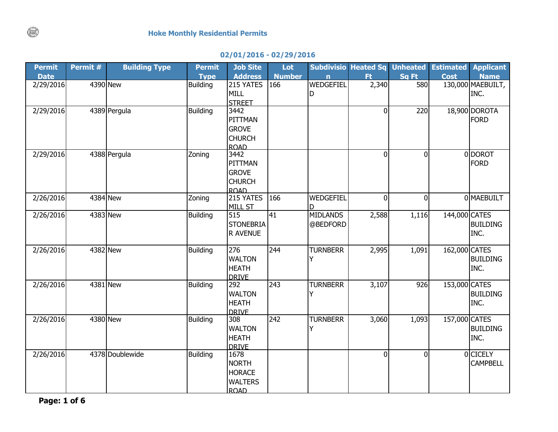## **02/01/2016 - 02/29/2016**

| <b>Permit</b> | Permit # | <b>Building Type</b> | <b>Permit</b>   | <b>Job Site</b>              | Lot           |                  | <b>Subdivisio Heated Sq Unheated</b> |              | <b>Estimated</b> | <b>Applicant</b>             |
|---------------|----------|----------------------|-----------------|------------------------------|---------------|------------------|--------------------------------------|--------------|------------------|------------------------------|
| <b>Date</b>   |          |                      | <b>Type</b>     | <b>Address</b>               | <b>Number</b> | n                | Ft.                                  | Sq Ft        | <b>Cost</b>      | <b>Name</b>                  |
| 2/29/2016     | 4390 New |                      | <b>Building</b> | 215 YATES                    | 166           | <b>WEDGEFIEL</b> | 2,340                                | 580          |                  | 130,000 MAEBUILT,            |
|               |          |                      |                 | <b>MILL</b>                  |               | D                |                                      |              |                  | INC.                         |
|               |          |                      |                 | <b>STREET</b>                |               |                  |                                      |              |                  |                              |
| 2/29/2016     |          | 4389 Pergula         | <b>Building</b> | 3442                         |               |                  | $\Omega$                             | 220          |                  | 18,900 DOROTA<br><b>FORD</b> |
|               |          |                      |                 | PITTMAN                      |               |                  |                                      |              |                  |                              |
|               |          |                      |                 | <b>GROVE</b>                 |               |                  |                                      |              |                  |                              |
|               |          |                      |                 | <b>CHURCH</b><br><b>ROAD</b> |               |                  |                                      |              |                  |                              |
| 2/29/2016     |          | 4388 Pergula         | Zoning          | 3442                         |               |                  | $\Omega$                             | $\mathbf{0}$ |                  | 0 DOROT                      |
|               |          |                      |                 | PITTMAN                      |               |                  |                                      |              |                  | <b>FORD</b>                  |
|               |          |                      |                 | <b>GROVE</b>                 |               |                  |                                      |              |                  |                              |
|               |          |                      |                 | <b>CHURCH</b>                |               |                  |                                      |              |                  |                              |
|               |          |                      |                 | <b>ROAD</b>                  |               |                  |                                      |              |                  |                              |
| 2/26/2016     | 4384 New |                      | Zoning          | 215 YATES                    | 166           | WEDGEFIEL        | $\Omega$                             | $\Omega$     |                  | 0 MAEBUILT                   |
|               |          |                      |                 | <b>MILL ST</b>               |               | D                |                                      |              |                  |                              |
| 2/26/2016     | 4383 New |                      | <b>Building</b> | 515                          | 41            | <b>MIDLANDS</b>  | 2,588                                | 1,116        | 144,000 CATES    |                              |
|               |          |                      |                 | <b>STONEBRIA</b>             |               | @BEDFORD         |                                      |              |                  | <b>BUILDING</b>              |
|               |          |                      |                 | R AVENUE                     |               |                  |                                      |              |                  | INC.                         |
|               |          |                      |                 |                              |               |                  |                                      |              |                  |                              |
| 2/26/2016     | 4382 New |                      | <b>Building</b> | 276                          | 244           | <b>TURNBERR</b>  | 2,995                                | 1,091        | 162,000 CATES    |                              |
|               |          |                      |                 | <b>WALTON</b>                |               | Y                |                                      |              |                  | <b>BUILDING</b>              |
|               |          |                      |                 | <b>HEATH</b>                 |               |                  |                                      |              |                  | INC.                         |
|               |          |                      |                 | <b>DRIVE</b>                 |               |                  |                                      |              |                  |                              |
| 2/26/2016     | 4381 New |                      | <b>Building</b> | 292                          | 243           | <b>TURNBERR</b>  | 3,107                                | 926          | 153,000 CATES    |                              |
|               |          |                      |                 | <b>WALTON</b>                |               | Υ                |                                      |              |                  | <b>BUILDING</b>              |
|               |          |                      |                 | <b>HEATH</b>                 |               |                  |                                      |              |                  | INC.                         |
| 2/26/2016     | 4380 New |                      | <b>Building</b> | <b>DRIVE</b><br>308          | 242           | <b>TURNBERR</b>  | 3,060                                | 1,093        | 157,000 CATES    |                              |
|               |          |                      |                 | <b>WALTON</b>                |               | Υ                |                                      |              |                  | <b>BUILDING</b>              |
|               |          |                      |                 | <b>HEATH</b>                 |               |                  |                                      |              |                  | INC.                         |
|               |          |                      |                 | <b>DRIVE</b>                 |               |                  |                                      |              |                  |                              |
| 2/26/2016     |          | 4378 Doublewide      | <b>Building</b> | 1678                         |               |                  | $\overline{0}$                       | $\mathbf 0$  |                  | 0 CICELY                     |
|               |          |                      |                 | <b>NORTH</b>                 |               |                  |                                      |              |                  | <b>CAMPBELL</b>              |
|               |          |                      |                 | <b>HORACE</b>                |               |                  |                                      |              |                  |                              |
|               |          |                      |                 | <b>WALTERS</b>               |               |                  |                                      |              |                  |                              |
|               |          |                      |                 | <b>ROAD</b>                  |               |                  |                                      |              |                  |                              |

**Page: 1 of 6**

 $\binom{1}{k}$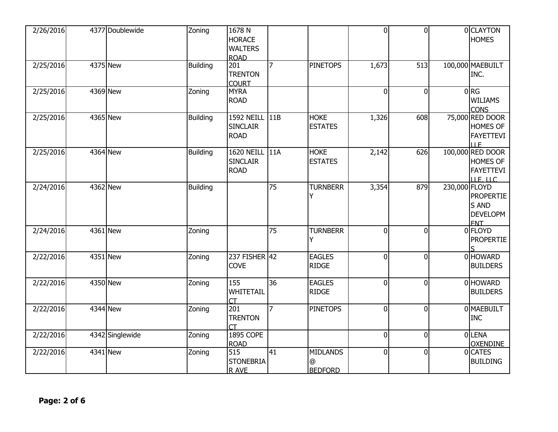| 2/26/2016 | 4377 Doublewide | Zoning          | 1678 N<br><b>HORACE</b><br><b>WALTERS</b><br><b>ROAD</b> |                 |                                        | $\overline{0}$ | $\Omega$       |               | 0 CLAYTON<br><b>HOMES</b>                                           |
|-----------|-----------------|-----------------|----------------------------------------------------------|-----------------|----------------------------------------|----------------|----------------|---------------|---------------------------------------------------------------------|
| 2/25/2016 | 4375 New        | <b>Building</b> | 201<br><b>TRENTON</b><br><b>COURT</b>                    | 7               | <b>PINETOPS</b>                        | 1,673          | 513            |               | 100,000 MAEBUILT<br>INC.                                            |
| 2/25/2016 | 4369 New        | Zoning          | <b>MYRA</b><br><b>ROAD</b>                               |                 |                                        | $\overline{0}$ | $\Omega$       |               | $0$ <sub>RG</sub><br><b>WILIAMS</b><br><b>CONS</b>                  |
| 2/25/2016 | 4365 New        | <b>Building</b> | 1592 NEILL 11B<br><b>SINCLAIR</b><br><b>ROAD</b>         |                 | <b>HOKE</b><br><b>ESTATES</b>          | 1,326          | 608            |               | 75,000 RED DOOR<br>HOMES OF<br><b>FAYETTEVI</b><br><b>ILE</b>       |
| 2/25/2016 | <b>4364 New</b> | <b>Building</b> | 1620 NEILL 11A<br><b>SINCLAIR</b><br><b>ROAD</b>         |                 | <b>HOKE</b><br><b>ESTATES</b>          | 2,142          | 626            |               | 100,000 RED DOOR<br>HOMES OF<br><b>FAYETTEVI</b><br><b>ILE. LLC</b> |
| 2/24/2016 | 4362 New        | <b>Building</b> |                                                          | $\overline{75}$ | <b>TURNBERR</b><br>Υ                   | 3,354          | 879            | 230,000 FLOYD | <b>PROPERTIE</b><br>S AND<br><b>DEVELOPM</b><br><b>FNT</b>          |
| 2/24/2016 | $4361$ New      | Zoning          |                                                          | $\overline{75}$ | <b>TURNBERR</b><br>Y                   | $\overline{0}$ | $\Omega$       |               | 0 FLOYD<br><b>PROPERTIE</b>                                         |
| 2/22/2016 | 4351 New        | Zoning          | 237 FISHER 42<br><b>COVE</b>                             |                 | <b>EAGLES</b><br><b>RIDGE</b>          | $\overline{0}$ | $\Omega$       |               | 0 HOWARD<br><b>BUILDERS</b>                                         |
| 2/22/2016 | 4350 New        | Zoning          | 155<br>WHITETAIL<br><b>CT</b>                            | 36              | <b>EAGLES</b><br><b>RIDGE</b>          | 0              | <sup>0</sup>   |               | 0 HOWARD<br><b>BUILDERS</b>                                         |
| 2/22/2016 | 4344 New        | Zoning          | 201<br><b>TRENTON</b><br>СT                              | 7               | <b>PINETOPS</b>                        | $\overline{0}$ | $\overline{0}$ |               | 0 MAEBUILT<br><b>INC</b>                                            |
| 2/22/2016 | 4342 Singlewide | Zoning          | <b>1895 COPE</b><br><b>ROAD</b>                          |                 |                                        | $\overline{0}$ | $\Omega$       |               | 0LENA<br><b>OXENDINE</b>                                            |
| 2/22/2016 | 4341 New        | Zoning          | 515<br><b>STONEBRIA</b><br>R AVE                         | 41              | <b>MIDLANDS</b><br>@<br><b>BEDFORD</b> | $\overline{0}$ | $\overline{0}$ |               | 0 CATES<br><b>BUILDING</b>                                          |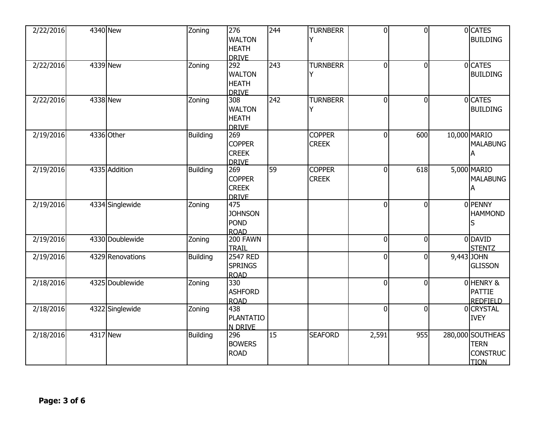| 2/22/2016 | 4340 New         | Zoning          | 276<br><b>WALTON</b><br><b>HEATH</b><br><b>DRIVE</b> | 244 | <b>TURNBERR</b><br>Υ          | $\overline{0}$ | $\overline{0}$ | 0 CATES<br><b>BUILDING</b>                                        |
|-----------|------------------|-----------------|------------------------------------------------------|-----|-------------------------------|----------------|----------------|-------------------------------------------------------------------|
| 2/22/2016 | 4339 New         | Zoning          | 292<br><b>WALTON</b><br><b>HEATH</b><br><b>DRIVE</b> | 243 | <b>TURNBERR</b><br>Y          | $\mathbf 0$    | $\Omega$       | 0 CATES<br><b>BUILDING</b>                                        |
| 2/22/2016 | 4338 New         | Zoning          | 308<br><b>WALTON</b><br><b>HEATH</b><br><b>DRIVE</b> | 242 | <b>TURNBERR</b><br>Y          | $\overline{0}$ | $\Omega$       | 0 CATES<br><b>BUILDING</b>                                        |
| 2/19/2016 | 4336 Other       | <b>Building</b> | 269<br><b>COPPER</b><br><b>CREEK</b><br><b>DRIVE</b> |     | <b>COPPER</b><br><b>CREEK</b> | 0              | 600            | 10,000 MARIO<br><b>MALABUNG</b><br>A                              |
| 2/19/2016 | 4335 Addition    | <b>Building</b> | 269<br><b>COPPER</b><br><b>CREEK</b><br><b>DRIVE</b> | 59  | <b>COPPER</b><br><b>CREEK</b> | $\overline{0}$ | 618            | 5,000 MARIO<br><b>MALABUNG</b><br>А                               |
| 2/19/2016 | 4334 Singlewide  | Zoning          | 475<br><b>JOHNSON</b><br><b>POND</b><br><b>ROAD</b>  |     |                               | $\mathbf{0}$   | ΩI             | 0 PENNY<br><b>HAMMOND</b><br>S                                    |
| 2/19/2016 | 4330 Doublewide  | Zoning          | 200 FAWN<br><b>TRAIL</b>                             |     |                               | $\overline{0}$ | $\Omega$       | 0 DAVID<br><b>STENTZ</b>                                          |
| 2/19/2016 | 4329 Renovations | Building        | <b>2547 RED</b><br><b>SPRINGS</b><br><b>ROAD</b>     |     |                               | $\overline{0}$ | $\Omega$       | 9,443 JOHN<br><b>GLISSON</b>                                      |
| 2/18/2016 | 4325 Doublewide  | Zoning          | 330<br><b>ASHFORD</b><br><b>ROAD</b>                 |     |                               | $\overline{0}$ | $\Omega$       | OHENRY &<br><b>PATTIE</b><br><b>REDFIELD</b>                      |
| 2/18/2016 | 4322 Singlewide  | Zoning          | 438<br><b>PLANTATIO</b><br>N DRIVE                   |     |                               | $\Omega$       | ΩI             | 0 CRYSTAL<br><b>IVEY</b>                                          |
| 2/18/2016 | 4317 New         | <b>Building</b> | 296<br><b>BOWERS</b><br><b>ROAD</b>                  | 15  | <b>SEAFORD</b>                | 2,591          | 955            | 280,000 SOUTHEAS<br><b>TERN</b><br><b>CONSTRUC</b><br><b>TION</b> |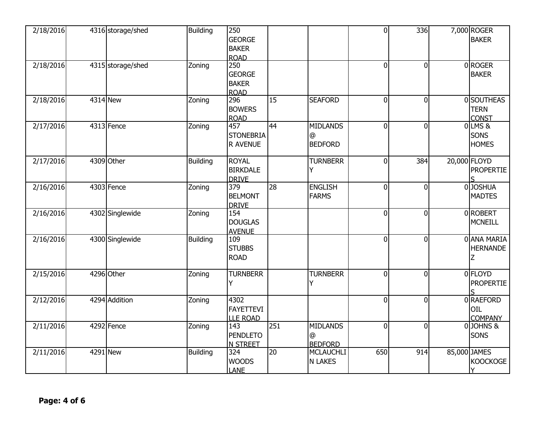| 2/18/2016 | 4316 storage/shed | <b>Building</b> | 250<br><b>GEORGE</b><br><b>BAKER</b><br><b>ROAD</b> |                 |                                        | $\overline{0}$ | $336$    | 7,000 ROGER<br><b>BAKER</b>                |
|-----------|-------------------|-----------------|-----------------------------------------------------|-----------------|----------------------------------------|----------------|----------|--------------------------------------------|
| 2/18/2016 | 4315 storage/shed | Zoning          | 250<br><b>GEORGE</b><br><b>BAKER</b><br><b>ROAD</b> |                 |                                        | $\overline{0}$ | ΩI       | 0 ROGER<br><b>BAKER</b>                    |
| 2/18/2016 | 4314 New          | Zoning          | 296<br><b>BOWERS</b><br><b>ROAD</b>                 | 15              | <b>SEAFORD</b>                         | $\overline{0}$ | $\Omega$ | 0 SOUTHEAS<br><b>TERN</b><br><b>CONST</b>  |
| 2/17/2016 | 4313 Fence        | Zoning          | 457<br><b>STONEBRIA</b><br><b>R AVENUE</b>          | 44              | <b>MIDLANDS</b><br>@<br><b>BEDFORD</b> | $\overline{0}$ | $\Omega$ | $0$ LMS $8$<br><b>SONS</b><br><b>HOMES</b> |
| 2/17/2016 | 4309 Other        | <b>Building</b> | <b>ROYAL</b><br><b>BIRKDALE</b><br><b>DRIVE</b>     |                 | <b>TURNBERR</b><br>Y                   | $\overline{0}$ | 384      | 20,000 FLOYD<br><b>PROPERTIE</b>           |
| 2/16/2016 | 4303 Fence        | Zoning          | 379<br><b>BELMONT</b><br><b>DRIVE</b>               | 28              | <b>ENGLISH</b><br><b>FARMS</b>         | $\overline{0}$ | $\Omega$ | 0 JOSHUA<br><b>MADTES</b>                  |
| 2/16/2016 | 4302 Singlewide   | Zoning          | 154<br><b>DOUGLAS</b><br><b>AVENUE</b>              |                 |                                        | $\overline{0}$ | $\Omega$ | 0ROBERT<br><b>MCNEILL</b>                  |
| 2/16/2016 | 4300 Singlewide   | <b>Building</b> | 109<br><b>STUBBS</b><br><b>ROAD</b>                 |                 |                                        | $\overline{0}$ | $\Omega$ | 0 ANA MARIA<br><b>HERNANDE</b><br>Ζ        |
| 2/15/2016 | 4296 Other        | Zoning          | <b>TURNBERR</b>                                     |                 | <b>TURNBERR</b><br>Υ                   | $\overline{0}$ | $\Omega$ | 0 FLOYD<br><b>PROPERTIE</b>                |
| 2/12/2016 | 4294 Addition     | Zoning          | 4302<br><b>FAYETTEVI</b><br><b>LLE ROAD</b>         |                 |                                        | $\overline{0}$ | $\Omega$ | 0 RAEFORD<br>OIL<br><b>COMPANY</b>         |
| 2/11/2016 | 4292 Fence        | Zoning          | 143<br><b>PENDLETO</b><br><b>N STREET</b>           | 251             | <b>MIDLANDS</b><br>@<br><b>BEDFORD</b> | $\overline{0}$ | $\Omega$ | 0JOHNS&<br>SONS                            |
| 2/11/2016 | 4291 New          | <b>Building</b> | 324<br><b>WOODS</b><br><b>LANE</b>                  | $\overline{20}$ | <b>MCLAUCHLI</b><br><b>N LAKES</b>     | 650            | 914      | 85,000 JAMES<br><b>KOOCKOGE</b>            |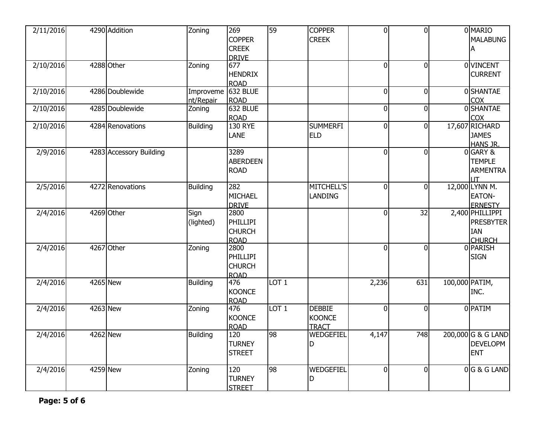| 2/11/2016 | 4290 Addition           | Zoning                          | 269<br><b>COPPER</b><br><b>CREEK</b>                    | 59               | <b>COPPER</b><br><b>CREEK</b>                  | $\overline{0}$ | $\Omega$       |                | 0 MARIO<br><b>MALABUNG</b><br>A                                    |
|-----------|-------------------------|---------------------------------|---------------------------------------------------------|------------------|------------------------------------------------|----------------|----------------|----------------|--------------------------------------------------------------------|
| 2/10/2016 | 4288 Other              | Zoning                          | <b>DRIVE</b><br>677<br><b>HENDRIX</b><br><b>ROAD</b>    |                  |                                                | $\mathbf 0$    | $\Omega$       |                | 0 VINCENT<br><b>CURRENT</b>                                        |
| 2/10/2016 | 4286 Doublewide         | Improveme 632 BLUE<br>nt/Repair | <b>ROAD</b>                                             |                  |                                                | $\mathbf 0$    | $\Omega$       |                | 0SHANTAE<br><b>COX</b>                                             |
| 2/10/2016 | 4285 Doublewide         | Zoning                          | 632 BLUE<br><b>ROAD</b>                                 |                  |                                                | $\overline{0}$ | $\Omega$       |                | 0 SHANTAE<br>COX                                                   |
| 2/10/2016 | 4284 Renovations        | <b>Building</b>                 | <b>130 RYE</b><br><b>LANE</b>                           |                  | <b>SUMMERFI</b><br><b>ELD</b>                  | $\overline{0}$ | $\overline{0}$ |                | 17,607 RICHARD<br><b>JAMES</b><br><b>HANS JR.</b>                  |
| 2/9/2016  | 4283 Accessory Building |                                 | 3289<br><b>ABERDEEN</b><br><b>ROAD</b>                  |                  |                                                | $\overline{0}$ | $\Omega$       |                | 0 GARY &<br><b>TEMPLE</b><br><b>ARMENTRA</b><br><b>IT</b>          |
| 2/5/2016  | 4272 Renovations        | <b>Building</b>                 | 282<br>MICHAEL<br><b>DRIVE</b>                          |                  | <b>MITCHELL'S</b><br><b>LANDING</b>            | $\overline{0}$ | $\Omega$       |                | 12,000 LYNN M.<br>EATON-<br><b>ERNESTY</b>                         |
| 2/4/2016  | 4269 Other              | Sign<br>(lighted)               | 2800<br><b>PHILLIPI</b><br><b>CHURCH</b><br><b>ROAD</b> |                  |                                                | $\overline{0}$ | 32             |                | 2,400 PHILLIPPI<br><b>PRESBYTER</b><br><b>IAN</b><br><b>CHURCH</b> |
| 2/4/2016  | 4267 Other              | Zoning                          | 2800<br><b>PHILLIPI</b><br><b>CHURCH</b><br><b>ROAD</b> |                  |                                                | $\overline{0}$ | <sup>0</sup>   |                | 0 PARISH<br><b>SIGN</b>                                            |
| 2/4/2016  | 4265 New                | <b>Building</b>                 | 476<br><b>KOONCE</b><br><b>ROAD</b>                     | LOT <sub>1</sub> |                                                | 2,236          | 631            | 100,000 PATIM, | INC.                                                               |
| 2/4/2016  | 4263 New                | Zoning                          | 476<br><b>KOONCE</b><br><b>ROAD</b>                     | LOT <sub>1</sub> | <b>DEBBIE</b><br><b>KOONCE</b><br><b>TRACT</b> | $\overline{0}$ | $\Omega$       |                | 0 PATIM                                                            |
| 2/4/2016  | 4262 New                | <b>Building</b>                 | 120<br><b>TURNEY</b><br><b>STREET</b>                   | 98               | WEDGEFIEL<br>D                                 | 4,147          | 748            |                | 200,000 G & G LAND<br><b>DEVELOPM</b><br><b>ENT</b>                |
| 2/4/2016  | 4259 New                | Zoning                          | 120<br><b>TURNEY</b><br><b>STREET</b>                   | 98               | WEDGEFIEL<br>D                                 | $\overline{0}$ | $\mathbf{0}$   |                | $0 G \& G$ LAND                                                    |